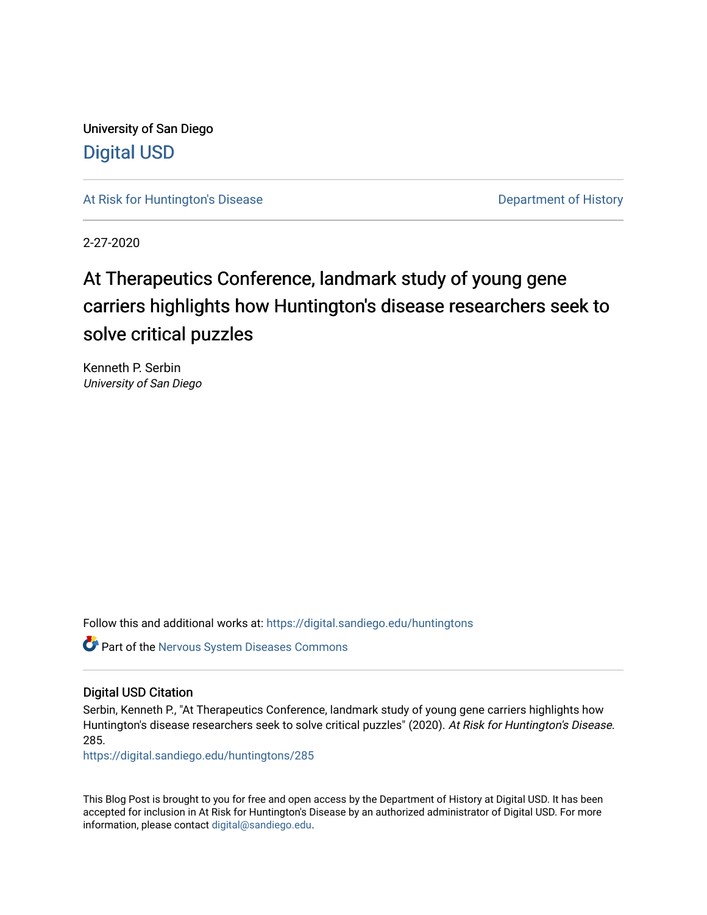University of San Diego [Digital USD](https://digital.sandiego.edu/)

[At Risk for Huntington's Disease](https://digital.sandiego.edu/huntingtons) **Department of History** Department of History

2-27-2020

# At Therapeutics Conference, landmark study of young gene carriers highlights how Huntington's disease researchers seek to solve critical puzzles

Kenneth P. Serbin University of San Diego

Follow this and additional works at: [https://digital.sandiego.edu/huntingtons](https://digital.sandiego.edu/huntingtons?utm_source=digital.sandiego.edu%2Fhuntingtons%2F285&utm_medium=PDF&utm_campaign=PDFCoverPages)

**Part of the [Nervous System Diseases Commons](http://network.bepress.com/hgg/discipline/928?utm_source=digital.sandiego.edu%2Fhuntingtons%2F285&utm_medium=PDF&utm_campaign=PDFCoverPages)** 

#### Digital USD Citation

Serbin, Kenneth P., "At Therapeutics Conference, landmark study of young gene carriers highlights how Huntington's disease researchers seek to solve critical puzzles" (2020). At Risk for Huntington's Disease. 285.

[https://digital.sandiego.edu/huntingtons/285](https://digital.sandiego.edu/huntingtons/285?utm_source=digital.sandiego.edu%2Fhuntingtons%2F285&utm_medium=PDF&utm_campaign=PDFCoverPages)

This Blog Post is brought to you for free and open access by the Department of History at Digital USD. It has been accepted for inclusion in At Risk for Huntington's Disease by an authorized administrator of Digital USD. For more information, please contact [digital@sandiego.edu.](mailto:digital@sandiego.edu)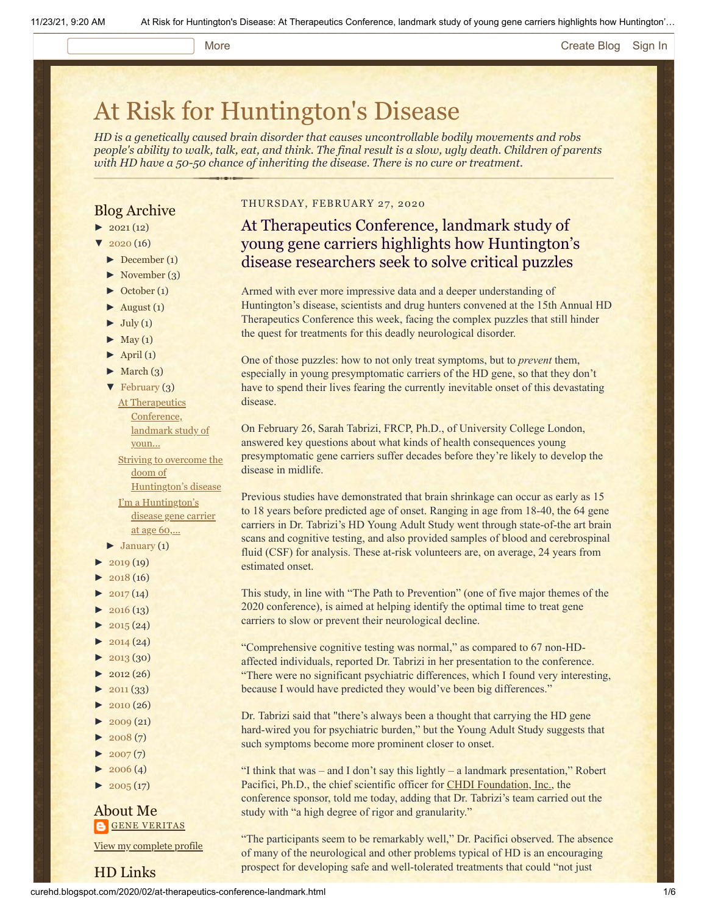#### More **[Create Blog](https://www.blogger.com/home#create) [Sign In](https://www.blogger.com/)**

# [At Risk for Huntington's Disease](http://curehd.blogspot.com/)

*HD is a genetically caused brain disorder that causes uncontrollable bodily movements and robs people's ability to walk, talk, eat, and think. The final result is a slow, ugly death. Children of parents with HD have a 50-50 chance of inheriting the disease. There is no cure or treatment.*

### Blog Archive

- $\blacktriangleright$  [2021](http://curehd.blogspot.com/2021/) (12)
- $\frac{1}{2020}$  $\frac{1}{2020}$  $\frac{1}{2020}$  (16)
- [►](javascript:void(0)) [December](http://curehd.blogspot.com/2020/12/) (1)
- [►](javascript:void(0)) [November](http://curehd.blogspot.com/2020/11/) (3)
- [►](javascript:void(0)) [October](http://curehd.blogspot.com/2020/10/) (1)
- $\blacktriangleright$  [August](http://curehd.blogspot.com/2020/08/) (1)
- $\blacktriangleright$  [July](http://curehd.blogspot.com/2020/07/) (1)
- $\blacktriangleright$  [May](http://curehd.blogspot.com/2020/05/) (1)
- $\blacktriangleright$  [April](http://curehd.blogspot.com/2020/04/) (1)
- $\blacktriangleright$  [March](http://curehd.blogspot.com/2020/03/) (3)
- [▼](javascript:void(0)) [February](http://curehd.blogspot.com/2020/02/) (3)
	- **At [Therapeutics](http://curehd.blogspot.com/2020/02/at-therapeutics-conference-landmark.html)** Conference, landmark study of youn... Striving to overcome the doom of [Huntington's](http://curehd.blogspot.com/2020/02/striving-to-overcome-doom-of.html) disease I'm a [Huntington's](http://curehd.blogspot.com/2020/02/im-huntingtons-disease-gene-carrier-at.html) disease gene carrier

at age 60,...  $\blacktriangleright$  [January](http://curehd.blogspot.com/2020/01/) (1)

- $\blacktriangleright$  [2019](http://curehd.blogspot.com/2019/) (19)
- $\blacktriangleright$  [2018](http://curehd.blogspot.com/2018/) (16)
- $\blacktriangleright$  [2017](http://curehd.blogspot.com/2017/) (14)
- $\blacktriangleright$  [2016](http://curehd.blogspot.com/2016/) (13)
- $\blacktriangleright$  [2015](http://curehd.blogspot.com/2015/) (24)
- $\blacktriangleright$  [2014](http://curehd.blogspot.com/2014/) (24)
- $\blacktriangleright$  [2013](http://curehd.blogspot.com/2013/) (30)
- $\blacktriangleright$  [2012](http://curehd.blogspot.com/2012/) (26)
- $\blacktriangleright$  [2011](http://curehd.blogspot.com/2011/) (33)
- [►](javascript:void(0)) [2010](http://curehd.blogspot.com/2010/) (26)
- $\blacktriangleright$  [2009](http://curehd.blogspot.com/2009/) (21)
- $\blacktriangleright$  [2008](http://curehd.blogspot.com/2008/) $(7)$
- $\blacktriangleright$  [2007](http://curehd.blogspot.com/2007/) $(7)$
- $\blacktriangleright$  [2006](http://curehd.blogspot.com/2006/) (4)
- $\blacktriangleright$  [2005](http://curehd.blogspot.com/2005/) (17)

HD Links

#### About Me **GENE [VERITAS](https://www.blogger.com/profile/10911736205741688185)**

View my [complete](https://www.blogger.com/profile/10911736205741688185) profile

#### THURSDAY, FEBRUARY 27, 2020

## At Therapeutics Conference, landmark study of young gene carriers highlights how Huntington's disease researchers seek to solve critical puzzles

Armed with ever more impressive data and a deeper understanding of Huntington's disease, scientists and drug hunters convened at the 15th Annual HD Therapeutics Conference this week, facing the complex puzzles that still hinder the quest for treatments for this deadly neurological disorder.

One of those puzzles: how to not only treat symptoms, but to *prevent* them, especially in young presymptomatic carriers of the HD gene, so that they don't have to spend their lives fearing the currently inevitable onset of this devastating disease.

On February 26, Sarah Tabrizi, FRCP, Ph.D., of University College London, answered key questions about what kinds of health consequences young presymptomatic gene carriers suffer decades before they're likely to develop the disease in midlife.

Previous studies have demonstrated that brain shrinkage can occur as early as 15 to 18 years before predicted age of onset. Ranging in age from 18-40, the 64 gene carriers in Dr. Tabrizi's HD Young Adult Study went through state-of-the art brain scans and cognitive testing, and also provided samples of blood and cerebrospinal fluid (CSF) for analysis. These at-risk volunteers are, on average, 24 years from estimated onset.

This study, in line with "The Path to Prevention" (one of five major themes of the 2020 conference), is aimed at helping identify the optimal time to treat gene carriers to slow or prevent their neurological decline.

"Comprehensive cognitive testing was normal," as compared to 67 non-HDaffected individuals, reported Dr. Tabrizi in her presentation to the conference. "There were no significant psychiatric differences, which I found very interesting, because I would have predicted they would've been big differences."

Dr. Tabrizi said that "there's always been a thought that carrying the HD gene hard-wired you for psychiatric burden," but the Young Adult Study suggests that such symptoms become more prominent closer to onset.

"I think that was – and I don't say this lightly – a landmark presentation," Robert Pacifici, Ph.D., the chief scientific officer for **CHDI** Foundation, Inc., the conference sponsor, told me today, adding that Dr. Tabrizi's team carried out the study with "a high degree of rigor and granularity."

"The participants seem to be remarkably well," Dr. Pacifici observed. The absence of many of the neurological and other problems typical of HD is an encouraging prospect for developing safe and well-tolerated treatments that could "not just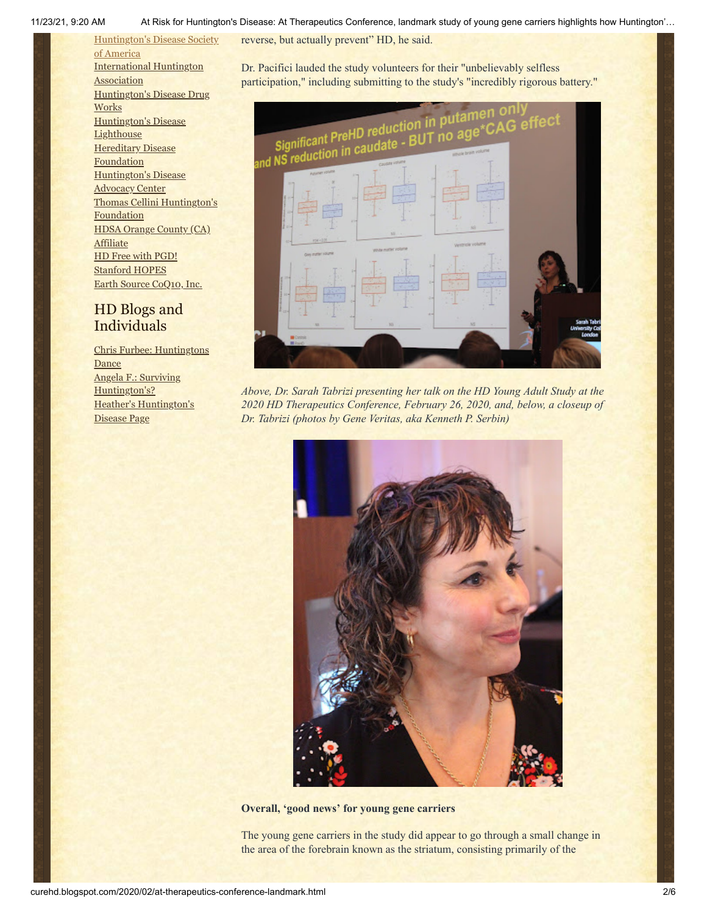11/23/21, 9:20 AM At Risk for Huntington's Disease: At Therapeutics Conference, landmark study of young gene carriers highlights how Huntington'…

[Huntington's](http://www.hdsa.org/) Disease Society of America [International](http://www.huntington-assoc.com/) Huntington **Association** [Huntington's](http://hddrugworks.org/) Disease Drug **Works** [Huntington's](http://www.hdlighthouse.org/) Disease **Lighthouse [Hereditary](http://www.hdfoundation.org/) Disease Foundation** [Huntington's](http://www.hdac.org/) Disease Advocacy Center Thomas [Cellini Huntington's](http://www.ourtchfoundation.org/) **Foundation** HDSA Orange County (CA) **[Affiliate](http://www.hdsaoc.org/)** HD Free with [PGD!](http://www.hdfreewithpgd.com/) [Stanford](http://www.stanford.edu/group/hopes/) HOPES

## HD Blogs and Individuals

Earth Source [CoQ10,](http://www.escoq10.com/) Inc.

Chris Furbee: [Huntingtons](http://www.huntingtonsdance.org/) **Dance** Angela F.: Surviving [Huntington's?](http://survivinghuntingtons.blogspot.com/) Heather's [Huntington's](http://heatherdugdale.angelfire.com/) Disease Page

reverse, but actually prevent" HD, he said.

Dr. Pacifici lauded the study volunteers for their "unbelievably selfless participation," including submitting to the study's "incredibly rigorous battery."



*Above, Dr. Sarah Tabrizi presenting her talk on the HD Young Adult Study at the 2020 HD Therapeutics Conference, February 26, 2020, and, below, a closeup of Dr. Tabrizi (photos by Gene Veritas, aka Kenneth P. Serbin)*



**Overall, 'good news' for young gene carriers**

The young gene carriers in the study did appear to go through a small change in the area of the forebrain known as the striatum, consisting primarily of the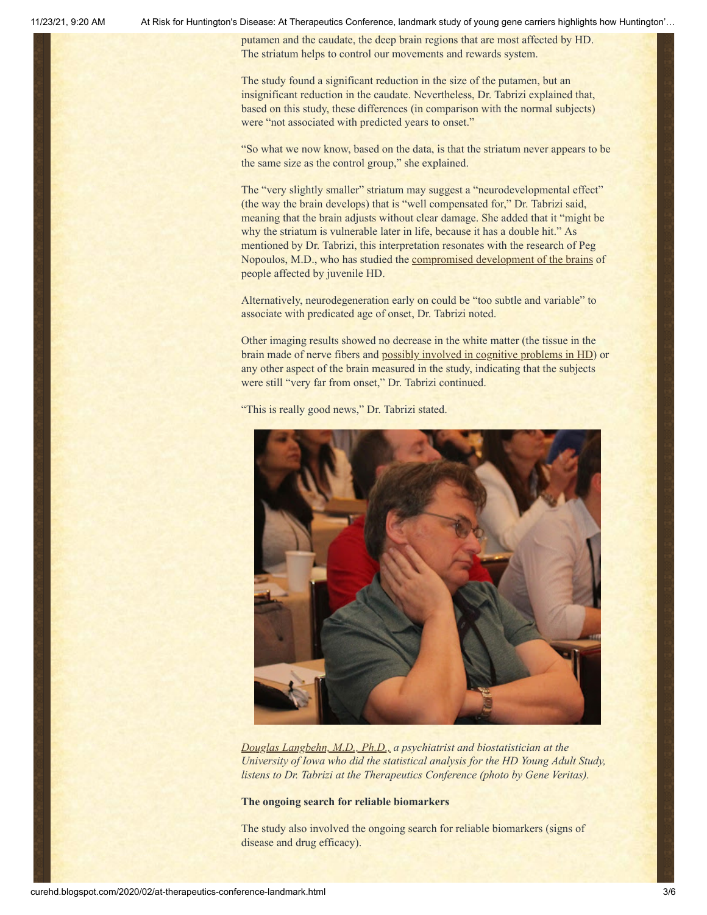11/23/21, 9:20 AM At Risk for Huntington's Disease: At Therapeutics Conference, landmark study of young gene carriers highlights how Huntington'…

putamen and the caudate, the deep brain regions that are most affected by HD. The striatum helps to control our movements and rewards system.

The study found a significant reduction in the size of the putamen, but an insignificant reduction in the caudate. Nevertheless, Dr. Tabrizi explained that, based on this study, these differences (in comparison with the normal subjects) were "not associated with predicted years to onset."

"So what we now know, based on the data, is that the striatum never appears to be the same size as the control group," she explained.

The "very slightly smaller" striatum may suggest a "neurodevelopmental effect" (the way the brain develops) that is "well compensated for," Dr. Tabrizi said, meaning that the brain adjusts without clear damage. She added that it "might be why the striatum is vulnerable later in life, because it has a double hit." As mentioned by Dr. Tabrizi, this interpretation resonates with the research of Peg Nopoulos, M.D., who has studied the [compromised development](https://vimeo.com/373204080) of the brains of people affected by juvenile HD.

Alternatively, neurodegeneration early on could be "too subtle and variable" to associate with predicated age of onset, Dr. Tabrizi noted.

Other imaging results showed no decrease in the white matter (the tissue in the brain made of nerve fibers and [possibly involved in cognitive problems in HD\)](https://huntingtonsdiseasenews.com/2018/08/16/white-matter-alterations-clinically-relevant-in-huntingtons-disease/) or any other aspect of the brain measured in the study, indicating that the subjects were still "very far from onset," Dr. Tabrizi continued.



"This is really good news," Dr. Tabrizi stated.

*[Douglas Langbehn, M.D., Ph.D.,](https://medicine.uiowa.edu/psychiatry/profile/douglas-langbehn) a psychiatrist and biostatistician at the University of Iowa who did the statistical analysis for the HD Young Adult Study, listens to Dr. Tabrizi at the Therapeutics Conference (photo by Gene Veritas).*

#### **The ongoing search for reliable biomarkers**

The study also involved the ongoing search for reliable biomarkers (signs of disease and drug efficacy).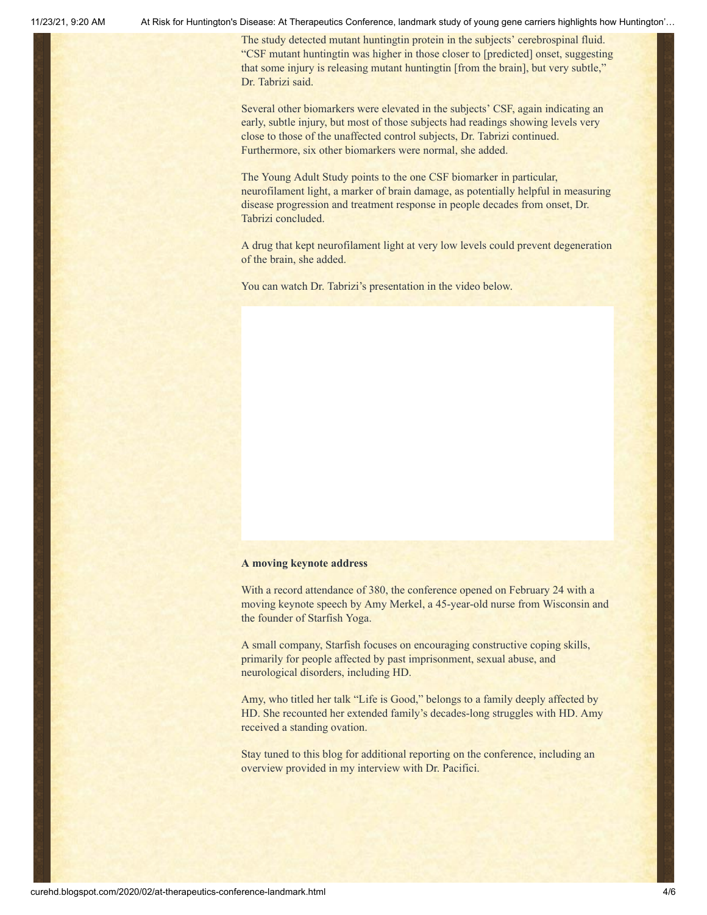11/23/21, 9:20 AM At Risk for Huntington's Disease: At Therapeutics Conference, landmark study of young gene carriers highlights how Huntington'…

The study detected mutant huntingtin protein in the subjects' cerebrospinal fluid. "CSF mutant huntingtin was higher in those closer to [predicted] onset, suggesting that some injury is releasing mutant huntingtin [from the brain], but very subtle," Dr. Tabrizi said.

Several other biomarkers were elevated in the subjects' CSF, again indicating an early, subtle injury, but most of those subjects had readings showing levels very close to those of the unaffected control subjects, Dr. Tabrizi continued. Furthermore, six other biomarkers were normal, she added.

The Young Adult Study points to the one CSF biomarker in particular, neurofilament light, a marker of brain damage, as potentially helpful in measuring disease progression and treatment response in people decades from onset, Dr. Tabrizi concluded.

A drug that kept neurofilament light at very low levels could prevent degeneration of the brain, she added.

You can watch Dr. Tabrizi's presentation in the video below.

#### **A moving keynote address**

With a record attendance of 380, the conference opened on February 24 with a moving keynote speech by Amy Merkel, a 45-year-old nurse from Wisconsin and the founder of Starfish Yoga.

A small company, Starfish focuses on encouraging constructive coping skills, primarily for people affected by past imprisonment, sexual abuse, and neurological disorders, including HD.

Amy, who titled her talk "Life is Good," belongs to a family deeply affected by HD. She recounted her extended family's decades-long struggles with HD. Amy received a standing ovation.

Stay tuned to this blog for additional reporting on the conference, including an overview provided in my interview with Dr. Pacifici.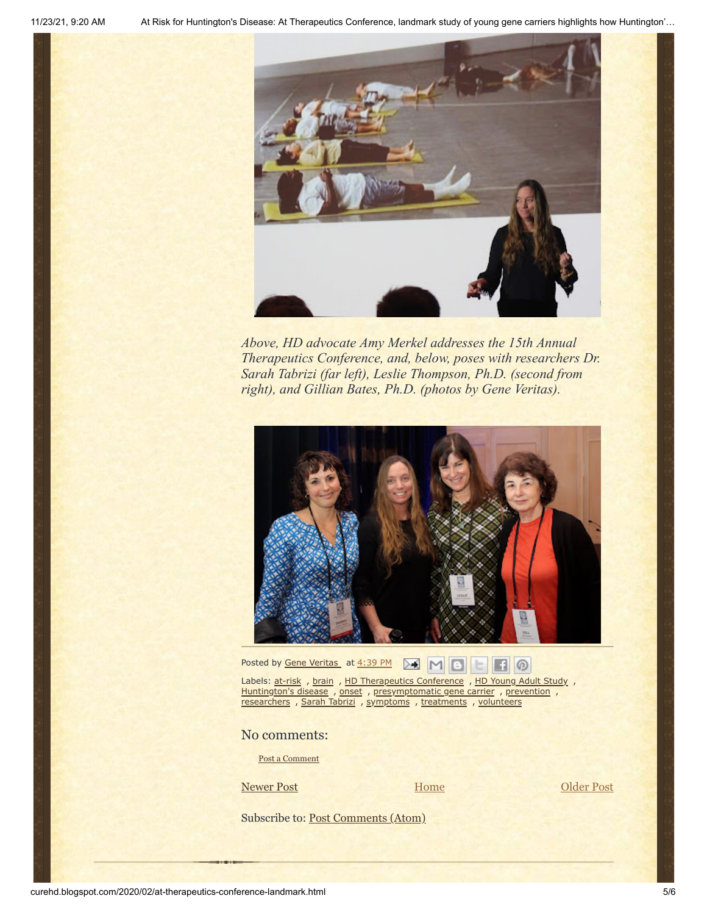

*Above, HD advocate Amy Merkel addresses the 15th Annual Therapeutics Conference, and, below, poses with researchers Dr. Sarah Tabrizi (far left), Leslie Thompson, Ph.D. (second from right), and Gillian Bates, Ph.D. (photos by Gene Veritas).*



Posted by <u>Gene [Veritas](https://www.blogger.com/profile/10911736205741688185)</u> at [4:39](http://curehd.blogspot.com/2020/02/at-therapeutics-conference-landmark.html) PM **A** M **B B B** 

Labels: [at-risk](http://curehd.blogspot.com/search/label/at-risk), [brain](http://curehd.blogspot.com/search/label/brain), HD [Therapeutics](http://curehd.blogspot.com/search/label/HD%20Therapeutics%20Conference) Conference, HD [Young](http://curehd.blogspot.com/search/label/HD%20Young%20Adult%20Study) Adult Study, [Huntington's](http://curehd.blogspot.com/search/label/Huntington%27s%20disease) disease, [onset](http://curehd.blogspot.com/search/label/onset), [presymptomatic](http://curehd.blogspot.com/search/label/presymptomatic%20gene%20carrier) gene carrier, [prevention](http://curehd.blogspot.com/search/label/prevention), [researchers](http://curehd.blogspot.com/search/label/researchers) , Sarah [Tabrizi](http://curehd.blogspot.com/search/label/Sarah%20Tabrizi) , [symptoms](http://curehd.blogspot.com/search/label/symptoms) , [treatments](http://curehd.blogspot.com/search/label/treatments) , [volunteers](http://curehd.blogspot.com/search/label/volunteers)

No comments:

Post a [Comment](https://www.blogger.com/comment.g?blogID=10081281&postID=4272206641871747412&isPopup=true)

[Newer Post](http://curehd.blogspot.com/2020/03/chdi-head-scientist-pacifici-hang-on-in_2.html) Newer Post

[Home](http://curehd.blogspot.com/)

Subscribe to: [Post Comments \(Atom\)](http://curehd.blogspot.com/feeds/4272206641871747412/comments/default)